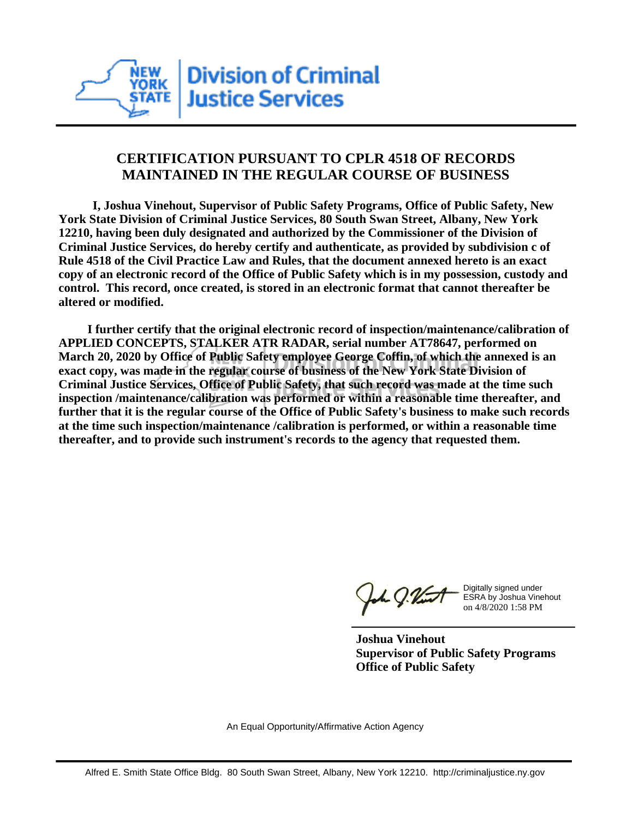

## **CERTIFICATION PURSUANT TO CPLR 4518 OF RECORDS MAINTAINED IN THE REGULAR COURSE OF BUSINESS**

 **I, Joshua Vinehout, Supervisor of Public Safety Programs, Office of Public Safety, New York State Division of Criminal Justice Services, 80 South Swan Street, Albany, New York 12210, having been duly designated and authorized by the Commissioner of the Division of Criminal Justice Services, do hereby certify and authenticate, as provided by subdivision c of Rule 4518 of the Civil Practice Law and Rules, that the document annexed hereto is an exact copy of an electronic record of the Office of Public Safety which is in my possession, custody and control. This record, once created, is stored in an electronic format that cannot thereafter be altered or modified.**

 **I further certify that the original electronic record of inspection/maintenance/calibration of APPLIED CONCEPTS, STALKER ATR RADAR, serial number AT78647, performed on March 20, 2020 by Office of Public Safety employee George Coffin, of which the annexed is an exact copy, was made in the regular course of business of the New York State Division of Criminal Justice Services, Office of Public Safety, that such record was made at the time such inspection /maintenance/calibration was performed or within a reasonable time thereafter, and further that it is the regular course of the Office of Public Safety's business to make such records at the time such inspection/maintenance /calibration is performed, or within a reasonable time thereafter, and to provide such instrument's records to the agency that requested them.**

h J.Vint

Digitally signed under ESRA by Joshua Vinehout on 4/8/2020 1:58 PM

**Joshua Vinehout Supervisor of Public Safety Programs Office of Public Safety**

An Equal Opportunity/Affirmative Action Agency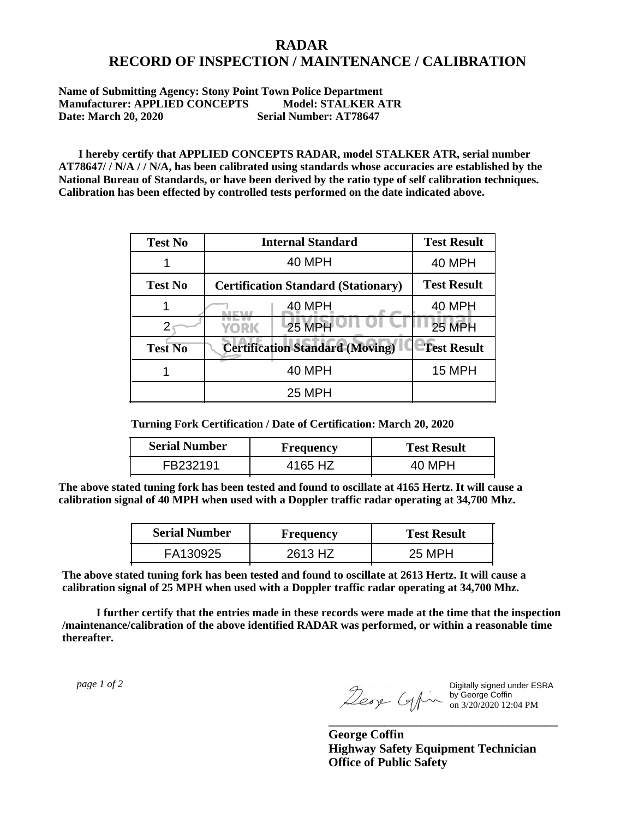## **RADAR RECORD OF INSPECTION / MAINTENANCE / CALIBRATION**

## **Name of Submitting Agency: Stony Point Town Police Department Manufacturer: APPLIED CONCEPTS Model: STALKER ATR Date: March 20, 2020 Serial Number: AT78647**

 **I hereby certify that APPLIED CONCEPTS RADAR, model STALKER ATR, serial number AT78647/ / N/A / / N/A, has been calibrated using standards whose accuracies are established by the National Bureau of Standards, or have been derived by the ratio type of self calibration techniques. Calibration has been effected by controlled tests performed on the date indicated above.**

| <b>Test No</b> | <b>Internal Standard</b>                   | <b>Test Result</b> |
|----------------|--------------------------------------------|--------------------|
|                | 40 MPH                                     | <b>40 MPH</b>      |
| <b>Test No</b> | <b>Certification Standard (Stationary)</b> | <b>Test Result</b> |
|                | 40 MPH                                     | 40 MPH             |
|                | 25 MPH<br>YORK                             | <b>25 MPH</b>      |
| <b>Test No</b> | <b>Certification Standard (Moving)</b>     | <b>Test Result</b> |
|                | <b>40 MPH</b>                              | <b>15 MPH</b>      |
|                | <b>25 MPH</b>                              |                    |

**Turning Fork Certification / Date of Certification: March 20, 2020**

| <b>Serial Number</b> | Frequency | <b>Test Result</b> |
|----------------------|-----------|--------------------|
| FB232191             | 4165 HZ   | 40 MPH             |

**The above stated tuning fork has been tested and found to oscillate at 4165 Hertz. It will cause a calibration signal of 40 MPH when used with a Doppler traffic radar operating at 34,700 Mhz.**

| <b>Serial Number</b> | Frequency | <b>Test Result</b> |
|----------------------|-----------|--------------------|
| FA130925             | 2613 HZ   | 25 MPH             |

**The above stated tuning fork has been tested and found to oscillate at 2613 Hertz. It will cause a calibration signal of 25 MPH when used with a Doppler traffic radar operating at 34,700 Mhz.**

 **I further certify that the entries made in these records were made at the time that the inspection /maintenance/calibration of the above identified RADAR was performed, or within a reasonable time thereafter.**

 *page 1 of 2* 

Digitally signed under ESRA by George Coffin on 3/20/2020 12:04 PM

**George Coffin Highway Safety Equipment Technician Office of Public Safety**

**\_\_\_\_\_\_\_\_\_\_\_\_\_\_\_\_\_\_\_\_\_\_\_\_\_\_\_\_\_\_\_\_\_\_\_\_\_**